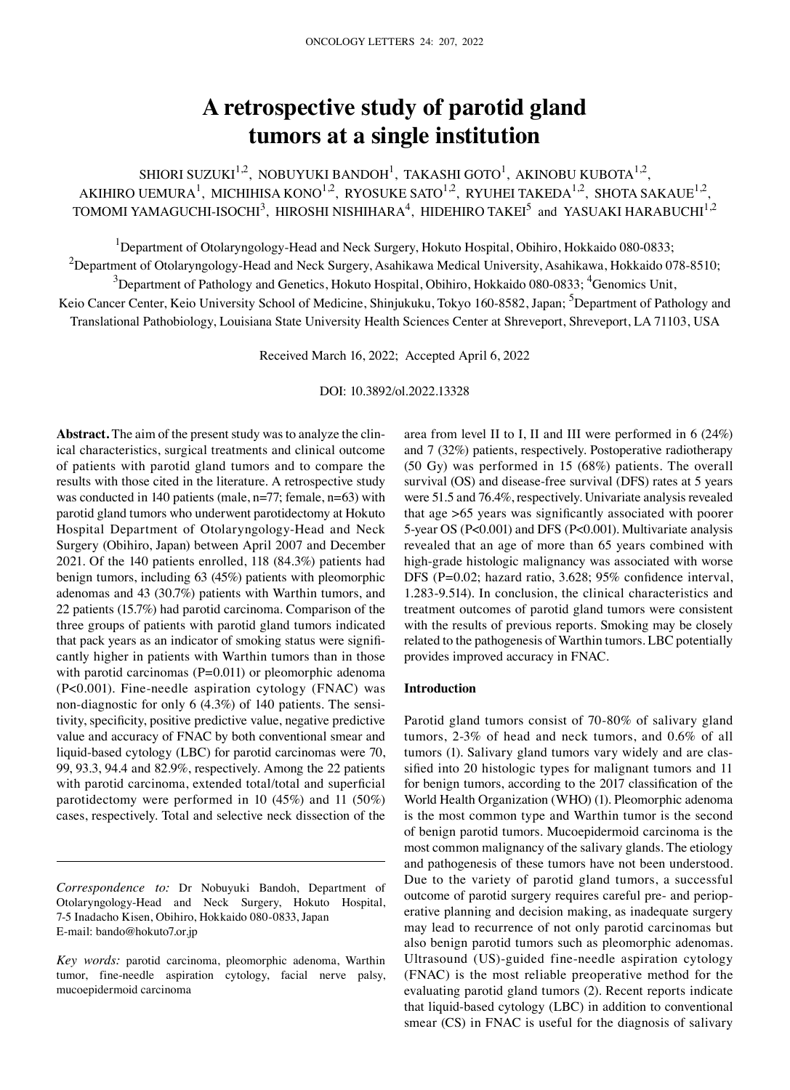# **A retrospective study of parotid gland tumors at a single institution**

SHIORI SUZUKI<sup>1,2</sup>, NOBUYUKI BANDOH<sup>1</sup>, TAKASHI GOTO<sup>1</sup>, AKINOBU KUBOTA<sup>1,2</sup>, AKIHIRO UEMURA<sup>1</sup>, MICHIHISA KONO<sup>1,2</sup>, RYOSUKE SATO<sup>1,2</sup>, RYUHEI TAKEDA<sup>1,2</sup>, SHOTA SAKAUE<sup>1,2</sup>, TOMOMI YAMAGUCHI-ISOCHI $^3$ , HIROSHI NISHIHARA $^4$ , HIDEHIRO TAKEI $^5$  and YASUAKI HARABUCHI $^{1,2}$ 

<sup>1</sup>Department of Otolaryngology-Head and Neck Surgery, Hokuto Hospital, Obihiro, Hokkaido 080-0833;  $^2$ Department of Otolaryngology-Head and Neck Surgery, Asahikawa Medical University, Asahikawa, Hokkaido 078-8510;  $^3$ Department of Pathology and Genetics, Hokuto Hospital, Obihiro, Hokkaido 080-0833;  $^4$ Genomics Unit,

Keio Cancer Center, Keio University School of Medicine, Shinjukuku, Tokyo 160-8582, Japan; <sup>5</sup>Department of Pathology and Translational Pathobiology, Louisiana State University Health Sciences Center at Shreveport, Shreveport, LA 71103, USA

Received March 16, 2022; Accepted April 6, 2022

DOI: 10.3892/ol.2022.13328

Abstract. The aim of the present study was to analyze the clinical characteristics, surgical treatments and clinical outcome of patients with parotid gland tumors and to compare the results with those cited in the literature. A retrospective study was conducted in 140 patients (male, n=77; female, n=63) with parotid gland tumors who underwent parotidectomy at Hokuto Hospital Department of Otolaryngology‑Head and Neck Surgery (Obihiro, Japan) between April 2007 and December 2021. Of the 140 patients enrolled, 118 (84.3%) patients had benign tumors, including 63 (45%) patients with pleomorphic adenomas and 43 (30.7%) patients with Warthin tumors, and 22 patients (15.7%) had parotid carcinoma. Comparison of the three groups of patients with parotid gland tumors indicated that pack years as an indicator of smoking status were significantly higher in patients with Warthin tumors than in those with parotid carcinomas  $(P=0.011)$  or pleomorphic adenoma (P<0.001). Fine‑needle aspiration cytology (FNAC) was non-diagnostic for only 6  $(4.3\%)$  of 140 patients. The sensitivity, specificity, positive predictive value, negative predictive value and accuracy of FNAC by both conventional smear and liquid‑based cytology (LBC) for parotid carcinomas were 70, 99, 93.3, 94.4 and 82.9%, respectively. Among the 22 patients with parotid carcinoma, extended total/total and superficial parotidectomy were performed in 10 (45%) and 11 (50%) cases, respectively. Total and selective neck dissection of the

*Correspondence to:* Dr Nobuyuki Bandoh, Department of Otolaryngology‑Head and Neck Surgery, Hokuto Hospital, 7‑5 Inadacho Kisen, Obihiro, Hokkaido 080‑0833, Japan E‑mail: bando@hokuto7.or.jp

area from level II to I, II and III were performed in 6 (24%) and 7 (32%) patients, respectively. Postoperative radiotherapy (50 Gy) was performed in 15 (68%) patients. The overall survival (OS) and disease-free survival (DFS) rates at 5 years were 51.5 and 76.4%, respectively. Univariate analysis revealed that age >65 years was significantly associated with poorer 5‑year OS (P<0.001) and DFS (P<0.001). Multivariate analysis revealed that an age of more than 65 years combined with high-grade histologic malignancy was associated with worse DFS (P=0.02; hazard ratio, 3.628; 95% confidence interval, 1.283‑9.514). In conclusion, the clinical characteristics and treatment outcomes of parotid gland tumors were consistent with the results of previous reports. Smoking may be closely related to the pathogenesis of Warthin tumors. LBC potentially provides improved accuracy in FNAC.

#### **Introduction**

Parotid gland tumors consist of 70‑80% of salivary gland tumors, 2‑3% of head and neck tumors, and 0.6% of all tumors (1). Salivary gland tumors vary widely and are classified into 20 histologic types for malignant tumors and 11 for benign tumors, according to the 2017 classification of the World Health Organization (WHO) (1). Pleomorphic adenoma is the most common type and Warthin tumor is the second of benign parotid tumors. Mucoepidermoid carcinoma is the most common malignancy of the salivary glands. The etiology and pathogenesis of these tumors have not been understood. Due to the variety of parotid gland tumors, a successful outcome of parotid surgery requires careful pre- and perioperative planning and decision making, as inadequate surgery may lead to recurrence of not only parotid carcinomas but also benign parotid tumors such as pleomorphic adenomas. Ultrasound (US)‑guided fine‑needle aspiration cytology (FNAC) is the most reliable preoperative method for the evaluating parotid gland tumors (2). Recent reports indicate that liquid‑based cytology (LBC) in addition to conventional smear (CS) in FNAC is useful for the diagnosis of salivary

*Key words:* parotid carcinoma, pleomorphic adenoma, Warthin tumor, fine‑needle aspiration cytology, facial nerve palsy, mucoepidermoid carcinoma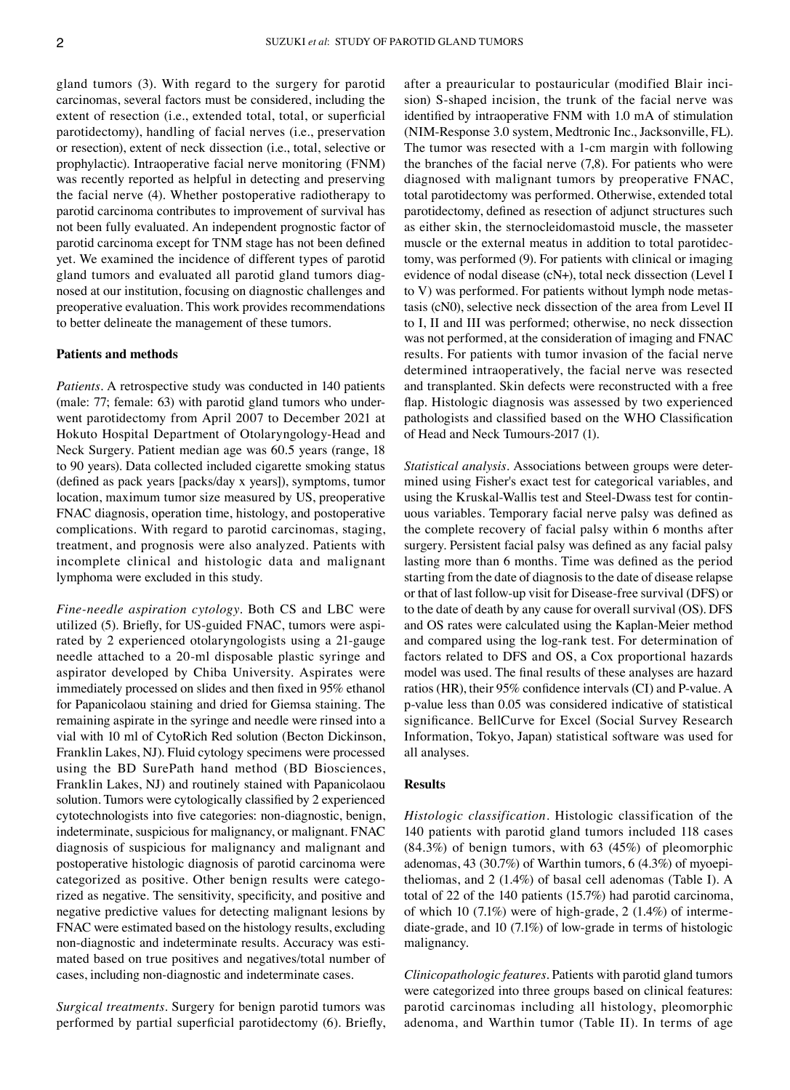gland tumors (3). With regard to the surgery for parotid carcinomas, several factors must be considered, including the extent of resection (i.e., extended total, total, or superficial parotidectomy), handling of facial nerves (i.e., preservation or resection), extent of neck dissection (i.e., total, selective or prophylactic). Intraoperative facial nerve monitoring (FNM) was recently reported as helpful in detecting and preserving the facial nerve (4). Whether postoperative radiotherapy to parotid carcinoma contributes to improvement of survival has not been fully evaluated. An independent prognostic factor of parotid carcinoma except for TNM stage has not been defined yet. We examined the incidence of different types of parotid gland tumors and evaluated all parotid gland tumors diagnosed at our institution, focusing on diagnostic challenges and preoperative evaluation. This work provides recommendations to better delineate the management of these tumors.

### **Patients and methods**

*Patients.* A retrospective study was conducted in 140 patients (male: 77; female: 63) with parotid gland tumors who underwent parotidectomy from April 2007 to December 2021 at Hokuto Hospital Department of Otolaryngology‑Head and Neck Surgery. Patient median age was 60.5 years (range, 18 to 90 years). Data collected included cigarette smoking status (defined as pack years [packs/day x years]), symptoms, tumor location, maximum tumor size measured by US, preoperative FNAC diagnosis, operation time, histology, and postoperative complications. With regard to parotid carcinomas, staging, treatment, and prognosis were also analyzed. Patients with incomplete clinical and histologic data and malignant lymphoma were excluded in this study.

*Fine‑needle aspiration cytology.* Both CS and LBC were utilized (5). Briefly, for US-guided FNAC, tumors were aspirated by 2 experienced otolaryngologists using a 21‑gauge needle attached to a 20‑ml disposable plastic syringe and aspirator developed by Chiba University. Aspirates were immediately processed on slides and then fixed in 95% ethanol for Papanicolaou staining and dried for Giemsa staining. The remaining aspirate in the syringe and needle were rinsed into a vial with 10 ml of CytoRich Red solution (Becton Dickinson, Franklin Lakes, NJ). Fluid cytology specimens were processed using the BD SurePath hand method (BD Biosciences, Franklin Lakes, NJ) and routinely stained with Papanicolaou solution. Tumors were cytologically classified by 2 experienced cytotechnologists into five categories: non‑diagnostic, benign, indeterminate, suspicious for malignancy, or malignant. FNAC diagnosis of suspicious for malignancy and malignant and postoperative histologic diagnosis of parotid carcinoma were categorized as positive. Other benign results were categorized as negative. The sensitivity, specificity, and positive and negative predictive values for detecting malignant lesions by FNAC were estimated based on the histology results, excluding non-diagnostic and indeterminate results. Accuracy was estimated based on true positives and negatives/total number of cases, including non‑diagnostic and indeterminate cases.

*Surgical treatments.* Surgery for benign parotid tumors was performed by partial superficial parotidectomy (6). Briefly, after a preauricular to postauricular (modified Blair incision) S-shaped incision, the trunk of the facial nerve was identified by intraoperative FNM with 1.0 mA of stimulation (NIM‑Response 3.0 system, Medtronic Inc., Jacksonville, FL). The tumor was resected with a 1-cm margin with following the branches of the facial nerve (7,8). For patients who were diagnosed with malignant tumors by preoperative FNAC, total parotidectomy was performed. Otherwise, extended total parotidectomy, defined as resection of adjunct structures such as either skin, the sternocleidomastoid muscle, the masseter muscle or the external meatus in addition to total parotidectomy, was performed (9). For patients with clinical or imaging evidence of nodal disease (cN+), total neck dissection (Level I to V) was performed. For patients without lymph node metastasis (cN0), selective neck dissection of the area from Level II to I, II and III was performed; otherwise, no neck dissection was not performed, at the consideration of imaging and FNAC results. For patients with tumor invasion of the facial nerve determined intraoperatively, the facial nerve was resected and transplanted. Skin defects were reconstructed with a free flap. Histologic diagnosis was assessed by two experienced pathologists and classified based on the WHO Classification of Head and Neck Tumours-2017 (1).

*Statistical analysis.* Associations between groups were determined using Fisher's exact test for categorical variables, and using the Kruskal-Wallis test and Steel-Dwass test for continuous variables. Temporary facial nerve palsy was defined as the complete recovery of facial palsy within 6 months after surgery. Persistent facial palsy was defined as any facial palsy lasting more than 6 months. Time was defined as the period starting from the date of diagnosis to the date of disease relapse or that of last follow‑up visit for Disease‑free survival (DFS) or to the date of death by any cause for overall survival (OS). DFS and OS rates were calculated using the Kaplan‑Meier method and compared using the log-rank test. For determination of factors related to DFS and OS, a Cox proportional hazards model was used. The final results of these analyses are hazard ratios (HR), their 95% confidence intervals (CI) and P‑value. A p‑value less than 0.05 was considered indicative of statistical significance. BellCurve for Excel (Social Survey Research Information, Tokyo, Japan) statistical software was used for all analyses.

# **Results**

*Histologic classification.* Histologic classification of the 140 patients with parotid gland tumors included 118 cases (84.3%) of benign tumors, with 63 (45%) of pleomorphic adenomas, 43 (30.7%) of Warthin tumors, 6 (4.3%) of myoepitheliomas, and 2 (1.4%) of basal cell adenomas (Table I). A total of 22 of the 140 patients (15.7%) had parotid carcinoma, of which 10  $(7.1\%)$  were of high-grade, 2  $(1.4\%)$  of intermediate‑grade, and 10 (7.1%) of low‑grade in terms of histologic malignancy.

*Clinicopathologic features.* Patients with parotid gland tumors were categorized into three groups based on clinical features: parotid carcinomas including all histology, pleomorphic adenoma, and Warthin tumor (Table II). In terms of age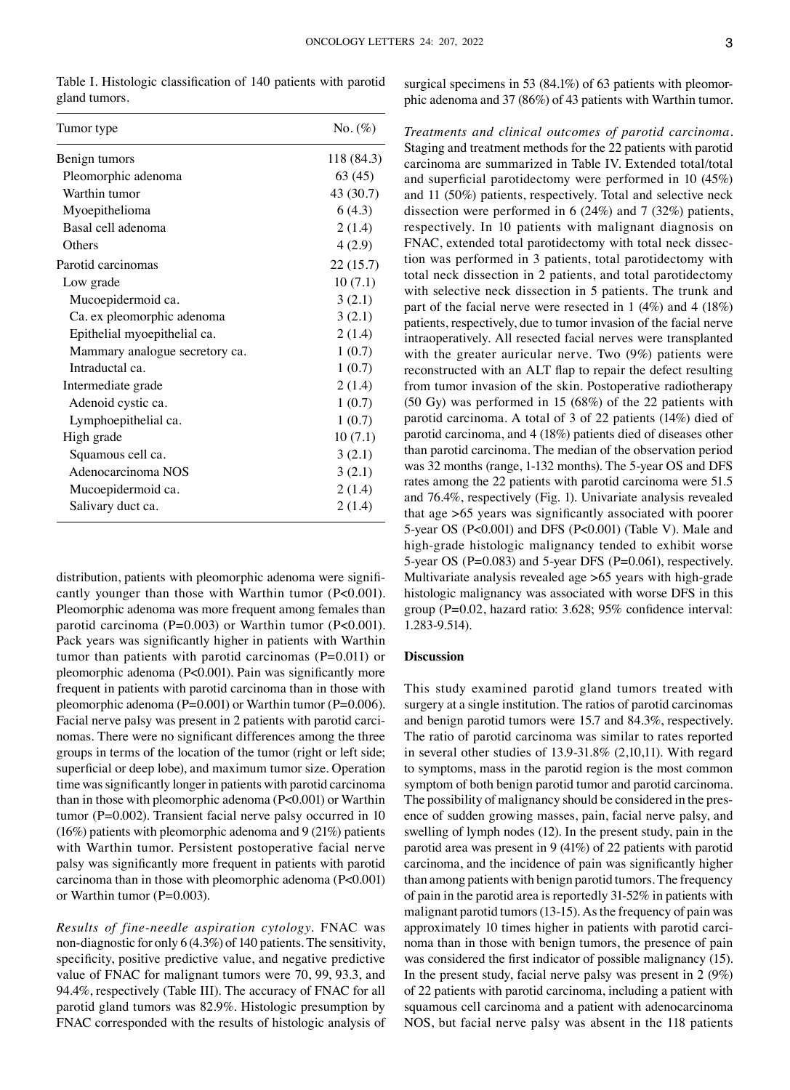Table I. Histologic classification of 140 patients with parotid gland tumors.

| Tumor type                     | No. $(\%)$ |
|--------------------------------|------------|
| Benign tumors                  | 118 (84.3) |
| Pleomorphic adenoma            | 63(45)     |
| Warthin tumor                  | 43 (30.7)  |
| Myoepithelioma                 | 6(4.3)     |
| Basal cell adenoma             | 2(1.4)     |
| Others                         | 4(2.9)     |
| Parotid carcinomas             | 22 (15.7)  |
| Low grade                      | 10(7.1)    |
| Mucoepidermoid ca.             | 3(2.1)     |
| Ca. ex pleomorphic adenoma     | 3(2.1)     |
| Epithelial myoepithelial ca.   | 2(1.4)     |
| Mammary analogue secretory ca. | 1(0.7)     |
| Intraductal ca.                | 1(0.7)     |
| Intermediate grade             | 2(1.4)     |
| Adenoid cystic ca.             | 1(0.7)     |
| Lymphoepithelial ca.           | 1(0.7)     |
| High grade                     | 10(7.1)    |
| Squamous cell ca.              | 3(2.1)     |
| Adenocarcinoma NOS             | 3(2.1)     |
| Mucoepidermoid ca.             | 2(1.4)     |
| Salivary duct ca.              | 2(1.4)     |

distribution, patients with pleomorphic adenoma were significantly younger than those with Warthin tumor (P<0.001). Pleomorphic adenoma was more frequent among females than parotid carcinoma (P=0.003) or Warthin tumor (P<0.001). Pack years was significantly higher in patients with Warthin tumor than patients with parotid carcinomas  $(P=0.011)$  or pleomorphic adenoma (P<0.001). Pain was significantly more frequent in patients with parotid carcinoma than in those with pleomorphic adenoma (P=0.001) or Warthin tumor (P=0.006). Facial nerve palsy was present in 2 patients with parotid carcinomas. There were no significant differences among the three groups in terms of the location of the tumor (right or left side; superficial or deep lobe), and maximum tumor size. Operation time was significantly longer in patients with parotid carcinoma than in those with pleomorphic adenoma (P<0.001) or Warthin tumor (P=0.002). Transient facial nerve palsy occurred in 10 (16%) patients with pleomorphic adenoma and 9 (21%) patients with Warthin tumor. Persistent postoperative facial nerve palsy was significantly more frequent in patients with parotid carcinoma than in those with pleomorphic adenoma (P<0.001) or Warthin tumor (P=0.003).

*Results of fine‑needle aspiration cytology.* FNAC was non‑diagnostic for only 6 (4.3%) of 140 patients. The sensitivity, specificity, positive predictive value, and negative predictive value of FNAC for malignant tumors were 70, 99, 93.3, and 94.4%, respectively (Table III). The accuracy of FNAC for all parotid gland tumors was 82.9%. Histologic presumption by FNAC corresponded with the results of histologic analysis of surgical specimens in 53 (84.1%) of 63 patients with pleomorphic adenoma and 37 (86%) of 43 patients with Warthin tumor.

*Treatments and clinical outcomes of parotid carcinoma.*  Staging and treatment methods for the 22 patients with parotid carcinoma are summarized in Table IV. Extended total/total and superficial parotidectomy were performed in 10 (45%) and 11 (50%) patients, respectively. Total and selective neck dissection were performed in 6 (24%) and 7 (32%) patients, respectively. In 10 patients with malignant diagnosis on FNAC, extended total parotidectomy with total neck dissection was performed in 3 patients, total parotidectomy with total neck dissection in 2 patients, and total parotidectomy with selective neck dissection in 5 patients. The trunk and part of the facial nerve were resected in 1 (4%) and 4 (18%) patients, respectively, due to tumor invasion of the facial nerve intraoperatively. All resected facial nerves were transplanted with the greater auricular nerve. Two (9%) patients were reconstructed with an ALT flap to repair the defect resulting from tumor invasion of the skin. Postoperative radiotherapy (50 Gy) was performed in 15 (68%) of the 22 patients with parotid carcinoma. A total of 3 of 22 patients (14%) died of parotid carcinoma, and 4 (18%) patients died of diseases other than parotid carcinoma. The median of the observation period was 32 months (range, 1-132 months). The 5-year OS and DFS rates among the 22 patients with parotid carcinoma were 51.5 and 76.4%, respectively (Fig. 1). Univariate analysis revealed that age >65 years was significantly associated with poorer 5‑year OS (P<0.001) and DFS (P<0.001) (Table V). Male and high-grade histologic malignancy tended to exhibit worse 5-year OS (P=0.083) and 5-year DFS (P=0.061), respectively. Multivariate analysis revealed age  $>65$  years with high-grade histologic malignancy was associated with worse DFS in this group (P=0.02, hazard ratio: 3.628; 95% confidence interval: 1.283‑9.514).

# **Discussion**

This study examined parotid gland tumors treated with surgery at a single institution. The ratios of parotid carcinomas and benign parotid tumors were 15.7 and 84.3%, respectively. The ratio of parotid carcinoma was similar to rates reported in several other studies of 13.9‑31.8% (2,10,11). With regard to symptoms, mass in the parotid region is the most common symptom of both benign parotid tumor and parotid carcinoma. The possibility of malignancy should be considered in the presence of sudden growing masses, pain, facial nerve palsy, and swelling of lymph nodes (12). In the present study, pain in the parotid area was present in 9 (41%) of 22 patients with parotid carcinoma, and the incidence of pain was significantly higher than among patients with benign parotid tumors. The frequency of pain in the parotid area is reportedly 31‑52% in patients with malignant parotid tumors (13-15). As the frequency of pain was approximately 10 times higher in patients with parotid carcinoma than in those with benign tumors, the presence of pain was considered the first indicator of possible malignancy (15). In the present study, facial nerve palsy was present in 2 (9%) of 22 patients with parotid carcinoma, including a patient with squamous cell carcinoma and a patient with adenocarcinoma NOS, but facial nerve palsy was absent in the 118 patients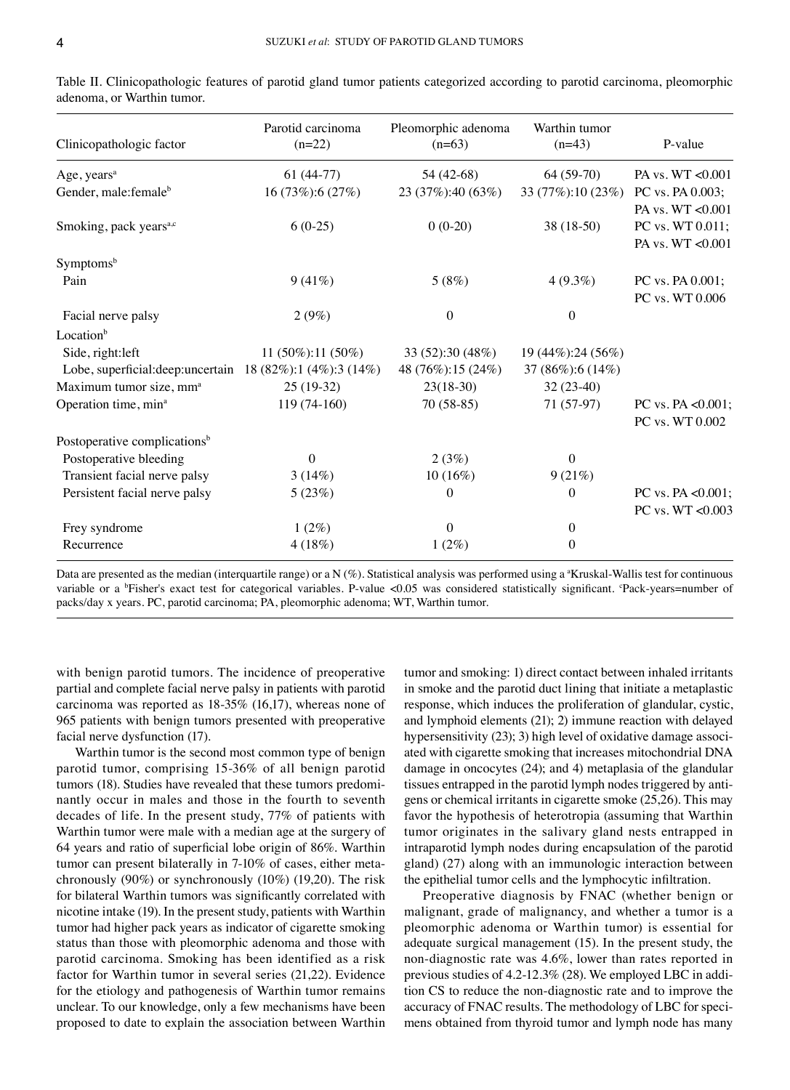| Clinicopathologic factor                                     | Parotid carcinoma<br>$(n=22)$ | Pleomorphic adenoma<br>$(n=63)$ | Warthin tumor<br>$(n=43)$ | P-value               |
|--------------------------------------------------------------|-------------------------------|---------------------------------|---------------------------|-----------------------|
| Age, years <sup>a</sup>                                      | $61(44-77)$                   | 54 (42-68)                      | $64(59-70)$               | PA vs. WT <0.001      |
| Gender, male: female <sup>b</sup>                            | 16 (73%):6 (27%)              | 23 (37%):40 (63%)               | 33 (77%):10 (23%)         | PC vs. PA 0.003;      |
|                                                              |                               |                                 |                           | PA vs. WT <0.001      |
| Smoking, pack years <sup>a,c</sup>                           | $6(0-25)$                     | $0(0-20)$                       | 38 (18-50)                | PC vs. WT 0.011;      |
|                                                              |                               |                                 |                           | PA vs. WT <0.001      |
| Symptomsb                                                    |                               |                                 |                           |                       |
| Pain                                                         | 9(41%)                        | 5(8%)                           | $4(9.3\%)$                | PC vs. PA 0.001;      |
|                                                              |                               |                                 |                           | PC vs. WT 0.006       |
| Facial nerve palsy                                           | 2(9%)                         | $\Omega$                        | $\mathbf{0}$              |                       |
| Location <sup>b</sup>                                        |                               |                                 |                           |                       |
| Side, right: left                                            | 11 $(50\%)$ :11 $(50\%)$      | 33 (52):30 (48%)                | 19 (44%):24 (56%)         |                       |
| Lobe, superficial: deep: uncertain 18 (82%): 1 (4%): 3 (14%) |                               | 48 (76%):15 (24%)               | 37 (86%):6 (14%)          |                       |
| Maximum tumor size, mm <sup>a</sup>                          | $25(19-32)$                   | $23(18-30)$                     | $32(23-40)$               |                       |
| Operation time, min <sup>a</sup>                             | $119(74-160)$                 | $70(58-85)$                     | 71 (57-97)                | PC vs. PA < $0.001$ ; |
|                                                              |                               |                                 |                           | PC vs. WT 0.002       |
| Postoperative complications <sup>b</sup>                     |                               |                                 |                           |                       |
| Postoperative bleeding                                       | $\mathbf{0}$                  | 2(3%)                           | $\theta$                  |                       |
| Transient facial nerve palsy                                 | 3(14%)                        | 10(16%)                         | 9(21%)                    |                       |
| Persistent facial nerve palsy                                | 5(23%)                        | $\theta$                        | $\theta$                  | PC vs. PA $<0.001$ ;  |
|                                                              |                               |                                 |                           | PC vs. WT <0.003      |
| Frey syndrome                                                | $1(2\%)$                      | $\Omega$                        | $\mathbf{0}$              |                       |
| Recurrence                                                   | 4(18%)                        | $1(2\%)$                        | 0                         |                       |

Table II. Clinicopathologic features of parotid gland tumor patients categorized according to parotid carcinoma, pleomorphic adenoma, or Warthin tumor.

Data are presented as the median (interquartile range) or a N (%). Statistical analysis was performed using a "Kruskal-Wallis test for continuous variable or a <sup>b</sup>Fisher's exact test for categorical variables. P-value <0.05 was considered statistically significant. Pack-years=number of packs/day x years. PC, parotid carcinoma; PA, pleomorphic adenoma; WT, Warthin tumor.

with benign parotid tumors. The incidence of preoperative partial and complete facial nerve palsy in patients with parotid carcinoma was reported as 18‑35% (16,17), whereas none of 965 patients with benign tumors presented with preoperative facial nerve dysfunction (17).

Warthin tumor is the second most common type of benign parotid tumor, comprising 15‑36% of all benign parotid tumors (18). Studies have revealed that these tumors predominantly occur in males and those in the fourth to seventh decades of life. In the present study, 77% of patients with Warthin tumor were male with a median age at the surgery of 64 years and ratio of superficial lobe origin of 86%. Warthin tumor can present bilaterally in 7-10% of cases, either metachronously (90%) or synchronously (10%) (19,20). The risk for bilateral Warthin tumors was significantly correlated with nicotine intake (19). In the present study, patients with Warthin tumor had higher pack years as indicator of cigarette smoking status than those with pleomorphic adenoma and those with parotid carcinoma. Smoking has been identified as a risk factor for Warthin tumor in several series (21,22). Evidence for the etiology and pathogenesis of Warthin tumor remains unclear. To our knowledge, only a few mechanisms have been proposed to date to explain the association between Warthin tumor and smoking: 1) direct contact between inhaled irritants in smoke and the parotid duct lining that initiate a metaplastic response, which induces the proliferation of glandular, cystic, and lymphoid elements (21); 2) immune reaction with delayed hypersensitivity  $(23)$ ; 3) high level of oxidative damage associated with cigarette smoking that increases mitochondrial DNA damage in oncocytes (24); and 4) metaplasia of the glandular tissues entrapped in the parotid lymph nodes triggered by antigens or chemical irritants in cigarette smoke (25,26). This may favor the hypothesis of heterotropia (assuming that Warthin tumor originates in the salivary gland nests entrapped in intraparotid lymph nodes during encapsulation of the parotid gland) (27) along with an immunologic interaction between the epithelial tumor cells and the lymphocytic infiltration.

Preoperative diagnosis by FNAC (whether benign or malignant, grade of malignancy, and whether a tumor is a pleomorphic adenoma or Warthin tumor) is essential for adequate surgical management (15). In the present study, the non‑diagnostic rate was 4.6%, lower than rates reported in previous studies of 4.2-12.3% (28). We employed LBC in addition CS to reduce the non‑diagnostic rate and to improve the accuracy of FNAC results. The methodology of LBC for specimens obtained from thyroid tumor and lymph node has many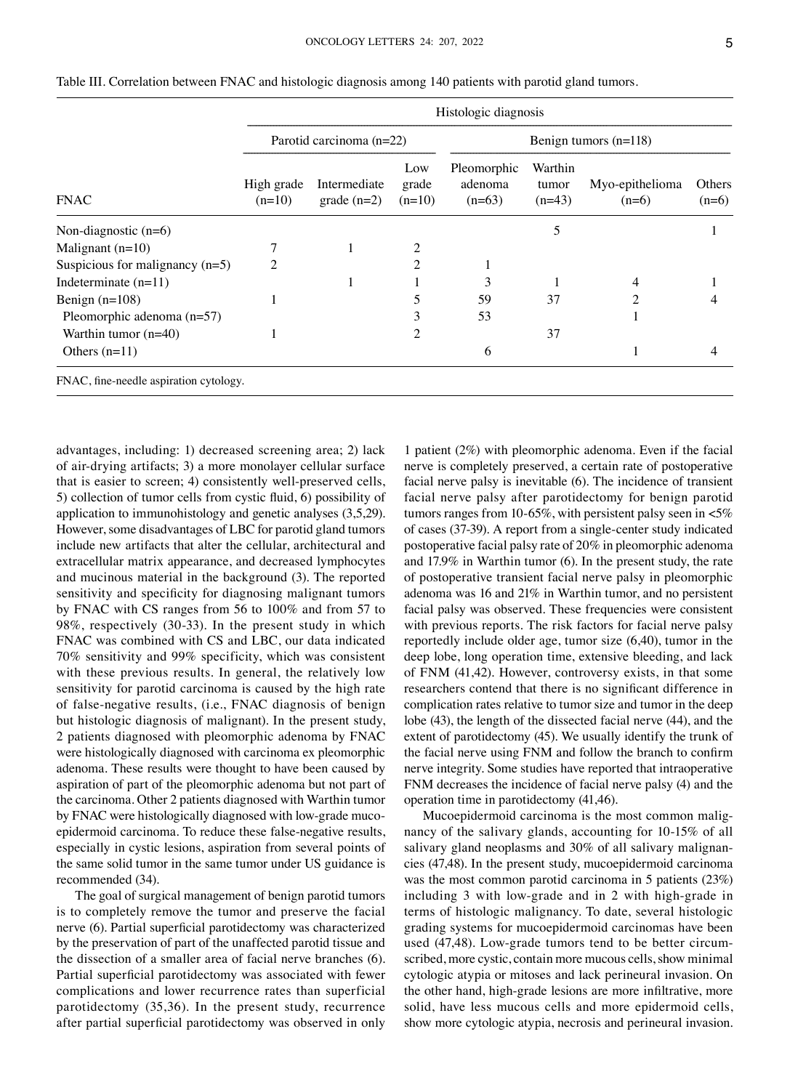| <b>FNAC</b>                            | Histologic diagnosis     |                               |                          |                                    |                              |                            |                   |
|----------------------------------------|--------------------------|-------------------------------|--------------------------|------------------------------------|------------------------------|----------------------------|-------------------|
|                                        | Parotid carcinoma (n=22) |                               |                          | Benign tumors $(n=118)$            |                              |                            |                   |
|                                        | High grade<br>$(n=10)$   | Intermediate<br>$grade (n=2)$ | Low<br>grade<br>$(n=10)$ | Pleomorphic<br>adenoma<br>$(n=63)$ | Warthin<br>tumor<br>$(n=43)$ | Myo-epithelioma<br>$(n=6)$ | Others<br>$(n=6)$ |
| Non-diagnostic $(n=6)$                 |                          |                               |                          |                                    | 5                            |                            |                   |
| Malignant $(n=10)$                     |                          |                               | 2                        |                                    |                              |                            |                   |
| Suspicious for malignancy $(n=5)$      | 2                        |                               | 2                        |                                    |                              |                            |                   |
| Indeterminate $(n=11)$                 |                          |                               |                          | 3                                  |                              | 4                          |                   |
| Benign $(n=108)$                       |                          |                               | 5                        | 59                                 | 37                           | າ                          |                   |
| Pleomorphic adenoma $(n=57)$           |                          |                               | 3                        | 53                                 |                              |                            |                   |
| Warthin tumor $(n=40)$                 |                          |                               | 2                        |                                    | 37                           |                            |                   |
| Others $(n=11)$                        |                          |                               |                          | 6                                  |                              |                            | 4                 |
| FNAC, fine-needle aspiration cytology. |                          |                               |                          |                                    |                              |                            |                   |

Table III. Correlation between FNAC and histologic diagnosis among 140 patients with parotid gland tumors.

advantages, including: 1) decreased screening area; 2) lack of air‑drying artifacts; 3) a more monolayer cellular surface that is easier to screen; 4) consistently well-preserved cells, 5) collection of tumor cells from cystic fluid, 6) possibility of application to immunohistology and genetic analyses (3,5,29). However, some disadvantages of LBC for parotid gland tumors include new artifacts that alter the cellular, architectural and extracellular matrix appearance, and decreased lymphocytes and mucinous material in the background (3). The reported sensitivity and specificity for diagnosing malignant tumors by FNAC with CS ranges from 56 to 100% and from 57 to 98%, respectively (30‑33). In the present study in which FNAC was combined with CS and LBC, our data indicated 70% sensitivity and 99% specificity, which was consistent with these previous results. In general, the relatively low sensitivity for parotid carcinoma is caused by the high rate of false‑negative results, (i.e., FNAC diagnosis of benign but histologic diagnosis of malignant). In the present study, 2 patients diagnosed with pleomorphic adenoma by FNAC were histologically diagnosed with carcinoma ex pleomorphic adenoma. These results were thought to have been caused by aspiration of part of the pleomorphic adenoma but not part of the carcinoma. Other 2 patients diagnosed with Warthin tumor by FNAC were histologically diagnosed with low-grade mucoepidermoid carcinoma. To reduce these false‑negative results, especially in cystic lesions, aspiration from several points of the same solid tumor in the same tumor under US guidance is recommended (34).

The goal of surgical management of benign parotid tumors is to completely remove the tumor and preserve the facial nerve (6). Partial superficial parotidectomy was characterized by the preservation of part of the unaffected parotid tissue and the dissection of a smaller area of facial nerve branches (6). Partial superficial parotidectomy was associated with fewer complications and lower recurrence rates than superficial parotidectomy (35,36). In the present study, recurrence after partial superficial parotidectomy was observed in only

1 patient (2%) with pleomorphic adenoma. Even if the facial nerve is completely preserved, a certain rate of postoperative facial nerve palsy is inevitable (6). The incidence of transient facial nerve palsy after parotidectomy for benign parotid tumors ranges from 10-65%, with persistent palsy seen in  $<5\%$ of cases (37‑39). A report from a single‑center study indicated postoperative facial palsy rate of 20% in pleomorphic adenoma and 17.9% in Warthin tumor (6). In the present study, the rate of postoperative transient facial nerve palsy in pleomorphic adenoma was 16 and 21% in Warthin tumor, and no persistent facial palsy was observed. These frequencies were consistent with previous reports. The risk factors for facial nerve palsy reportedly include older age, tumor size (6,40), tumor in the deep lobe, long operation time, extensive bleeding, and lack of FNM (41,42). However, controversy exists, in that some researchers contend that there is no significant difference in complication rates relative to tumor size and tumor in the deep lobe (43), the length of the dissected facial nerve (44), and the extent of parotidectomy (45). We usually identify the trunk of the facial nerve using FNM and follow the branch to confirm nerve integrity. Some studies have reported that intraoperative FNM decreases the incidence of facial nerve palsy (4) and the operation time in parotidectomy (41,46).

Mucoepidermoid carcinoma is the most common malignancy of the salivary glands, accounting for 10‑15% of all salivary gland neoplasms and 30% of all salivary malignancies (47,48). In the present study, mucoepidermoid carcinoma was the most common parotid carcinoma in 5 patients (23%) including 3 with low-grade and in 2 with high-grade in terms of histologic malignancy. To date, several histologic grading systems for mucoepidermoid carcinomas have been used (47,48). Low-grade tumors tend to be better circumscribed, more cystic, contain more mucous cells, show minimal cytologic atypia or mitoses and lack perineural invasion. On the other hand, high‑grade lesions are more infiltrative, more solid, have less mucous cells and more epidermoid cells, show more cytologic atypia, necrosis and perineural invasion.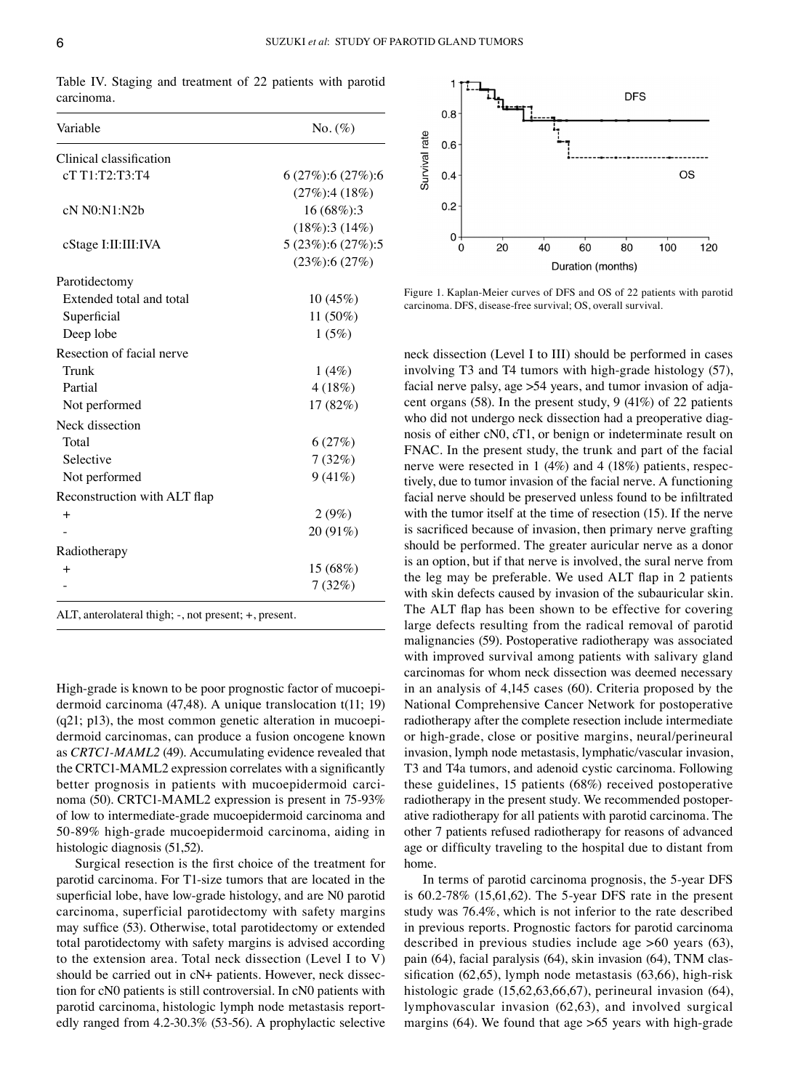Table IV. Staging and treatment of 22 patients with parotid carcinoma.

| Variable                                              | $No. (\%)$               |  |  |
|-------------------------------------------------------|--------------------------|--|--|
| Clinical classification                               |                          |  |  |
| cT T1:T2:T3:T4                                        | $6(27\%)$ :6 $(27\%)$ :6 |  |  |
|                                                       | $(27\%)$ :4 $(18\%)$     |  |  |
| cN N0:N1:N2b                                          | 16 (68%):3               |  |  |
|                                                       | $(18\%):3(14\%)$         |  |  |
| cStage I:II:III:IVA                                   | 5 (23%):6 (27%):5        |  |  |
|                                                       | $(23\%):6(27\%)$         |  |  |
| Parotidectomy                                         |                          |  |  |
| Extended total and total                              | 10(45%)                  |  |  |
| Superficial                                           | 11 (50%)                 |  |  |
| Deep lobe                                             | 1(5%)                    |  |  |
| Resection of facial nerve                             |                          |  |  |
| Trunk                                                 | 1(4%)                    |  |  |
| Partial                                               | 4(18%)                   |  |  |
| Not performed                                         | 17 (82%)                 |  |  |
| Neck dissection                                       |                          |  |  |
| Total                                                 | 6(27%)                   |  |  |
| Selective                                             | 7(32%)                   |  |  |
| Not performed                                         | 9(41%)                   |  |  |
| Reconstruction with ALT flap                          |                          |  |  |
| $^{+}$                                                | 2(9%)                    |  |  |
|                                                       | 20 (91%)                 |  |  |
| Radiotherapy                                          |                          |  |  |
| $\ddot{}$                                             | 15(68%)                  |  |  |
|                                                       | 7(32%)                   |  |  |
| ALT, anterolateral thigh; -, not present; +, present. |                          |  |  |

High-grade is known to be poor prognostic factor of mucoepidermoid carcinoma (47,48). A unique translocation t(11; 19)  $(q21; p13)$ , the most common genetic alteration in mucoepidermoid carcinomas, can produce a fusion oncogene known as *CRTC1‑MAML2* (49). Accumulating evidence revealed that the CRTC1‑MAML2 expression correlates with a significantly better prognosis in patients with mucoepidermoid carcinoma (50). CRTC1‑MAML2 expression is present in 75‑93% of low to intermediate‑grade mucoepidermoid carcinoma and 50‑89% high‑grade mucoepidermoid carcinoma, aiding in histologic diagnosis (51,52).

Surgical resection is the first choice of the treatment for parotid carcinoma. For T1‑size tumors that are located in the superficial lobe, have low-grade histology, and are N0 parotid carcinoma, superficial parotidectomy with safety margins may suffice (53). Otherwise, total parotidectomy or extended total parotidectomy with safety margins is advised according to the extension area. Total neck dissection (Level I to V) should be carried out in cN+ patients. However, neck dissection for cN0 patients is still controversial. In cN0 patients with parotid carcinoma, histologic lymph node metastasis reportedly ranged from 4.2‑30.3% (53‑56). A prophylactic selective



Figure 1. Kaplan‑Meier curves of DFS and OS of 22 patients with parotid carcinoma. DFS, disease‑free survival; OS, overall survival.

neck dissection (Level I to III) should be performed in cases involving T3 and T4 tumors with high-grade histology (57), facial nerve palsy, age  $>54$  years, and tumor invasion of adjacent organs (58). In the present study, 9 (41%) of 22 patients who did not undergo neck dissection had a preoperative diagnosis of either cN0, cT1, or benign or indeterminate result on FNAC. In the present study, the trunk and part of the facial nerve were resected in 1 (4%) and 4 (18%) patients, respectively, due to tumor invasion of the facial nerve. A functioning facial nerve should be preserved unless found to be infiltrated with the tumor itself at the time of resection (15). If the nerve is sacrificed because of invasion, then primary nerve grafting should be performed. The greater auricular nerve as a donor is an option, but if that nerve is involved, the sural nerve from the leg may be preferable. We used ALT flap in 2 patients with skin defects caused by invasion of the subauricular skin. The ALT flap has been shown to be effective for covering large defects resulting from the radical removal of parotid malignancies (59). Postoperative radiotherapy was associated with improved survival among patients with salivary gland carcinomas for whom neck dissection was deemed necessary in an analysis of 4,145 cases (60). Criteria proposed by the National Comprehensive Cancer Network for postoperative radiotherapy after the complete resection include intermediate or high‑grade, close or positive margins, neural/perineural invasion, lymph node metastasis, lymphatic/vascular invasion, T3 and T4a tumors, and adenoid cystic carcinoma. Following these guidelines, 15 patients (68%) received postoperative radiotherapy in the present study. We recommended postoperative radiotherapy for all patients with parotid carcinoma. The other 7 patients refused radiotherapy for reasons of advanced age or difficulty traveling to the hospital due to distant from home.

In terms of parotid carcinoma prognosis, the 5‑year DFS is 60.2‑78% (15,61,62). The 5‑year DFS rate in the present study was 76.4%, which is not inferior to the rate described in previous reports. Prognostic factors for parotid carcinoma described in previous studies include age >60 years (63), pain (64), facial paralysis (64), skin invasion (64), TNM classification  $(62,65)$ , lymph node metastasis  $(63,66)$ , high-risk histologic grade (15,62,63,66,67), perineural invasion (64), lymphovascular invasion (62,63), and involved surgical margins (64). We found that age  $>65$  years with high-grade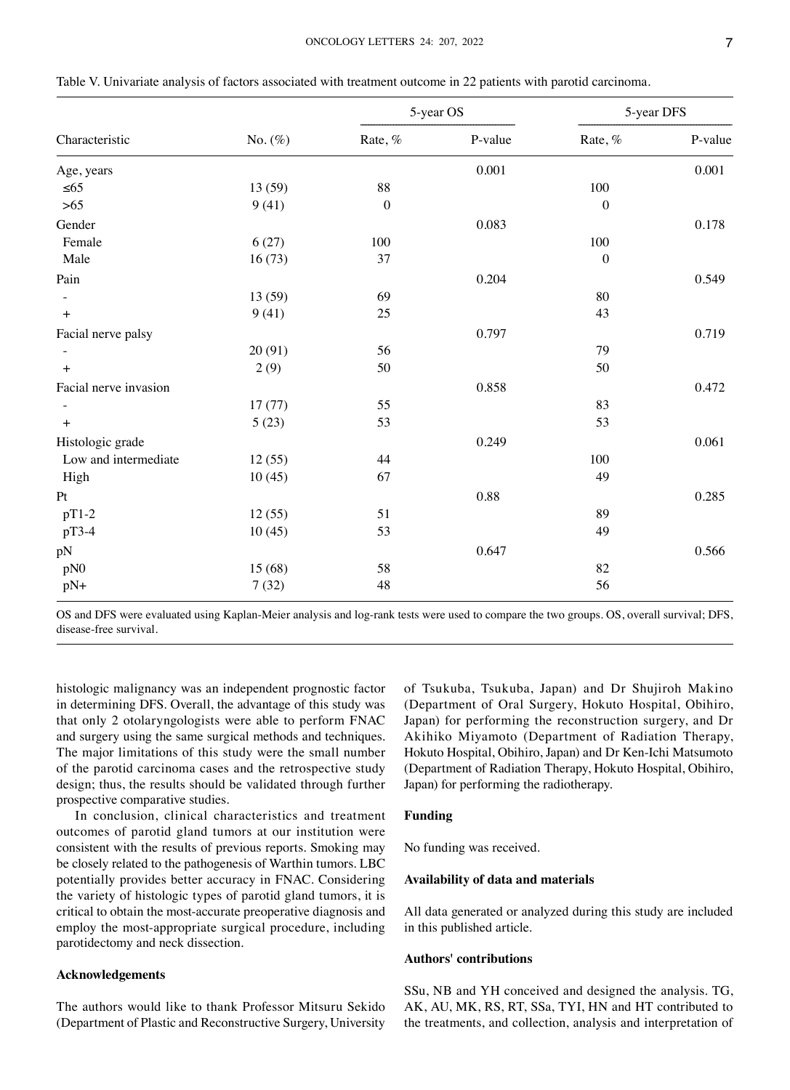| Characteristic        |            | 5-year OS        |         | 5-year DFS       |         |
|-----------------------|------------|------------------|---------|------------------|---------|
|                       | No. $(\%)$ | Rate, %          | P-value | Rate, %          | P-value |
| Age, years            |            |                  | 0.001   |                  | 0.001   |
| $\leq 65$             | 13 (59)    | 88               |         | $100\,$          |         |
| $>65$                 | 9(41)      | $\boldsymbol{0}$ |         | $\boldsymbol{0}$ |         |
| Gender                |            |                  | 0.083   |                  | 0.178   |
| Female                | 6(27)      | 100              |         | $100\,$          |         |
| Male                  | 16(73)     | 37               |         | $\boldsymbol{0}$ |         |
| Pain                  |            |                  | 0.204   |                  | 0.549   |
|                       | 13 (59)    | 69               |         | 80               |         |
| $+$                   | 9(41)      | 25               |         | 43               |         |
| Facial nerve palsy    |            |                  | 0.797   |                  | 0.719   |
|                       | 20(91)     | 56               |         | 79               |         |
| $+$                   | 2(9)       | $50\,$           |         | 50               |         |
| Facial nerve invasion |            |                  | 0.858   |                  | 0.472   |
|                       | 17(77)     | 55               |         | 83               |         |
| $+$                   | 5(23)      | 53               |         | 53               |         |
| Histologic grade      |            |                  | 0.249   |                  | 0.061   |
| Low and intermediate  | 12(55)     | 44               |         | 100              |         |
| High                  | 10(45)     | 67               |         | 49               |         |
| Pt                    |            |                  | 0.88    |                  | 0.285   |
| $pT1-2$               | 12(55)     | 51               |         | 89               |         |
| pT3-4                 | 10(45)     | 53               |         | 49               |         |
| pN                    |            |                  | 0.647   |                  | 0.566   |
| pN0                   | 15 (68)    | 58               |         | 82               |         |
| $pN+$                 | 7(32)      | 48               |         | 56               |         |

Table V. Univariate analysis of factors associated with treatment outcome in 22 patients with parotid carcinoma.

OS and DFS were evaluated using Kaplan‑Meier analysis and log‑rank tests were used to compare the two groups. OS, overall survival; DFS, disease‑free survival.

histologic malignancy was an independent prognostic factor in determining DFS. Overall, the advantage of this study was that only 2 otolaryngologists were able to perform FNAC and surgery using the same surgical methods and techniques. The major limitations of this study were the small number of the parotid carcinoma cases and the retrospective study design; thus, the results should be validated through further prospective comparative studies.

In conclusion, clinical characteristics and treatment outcomes of parotid gland tumors at our institution were consistent with the results of previous reports. Smoking may be closely related to the pathogenesis of Warthin tumors. LBC potentially provides better accuracy in FNAC. Considering the variety of histologic types of parotid gland tumors, it is critical to obtain the most‑accurate preoperative diagnosis and employ the most‑appropriate surgical procedure, including parotidectomy and neck dissection.

# **Acknowledgements**

The authors would like to thank Professor Mitsuru Sekido (Department of Plastic and Reconstructive Surgery, University of Tsukuba, Tsukuba, Japan) and Dr Shujiroh Makino (Department of Oral Surgery, Hokuto Hospital, Obihiro, Japan) for performing the reconstruction surgery, and Dr Akihiko Miyamoto (Department of Radiation Therapy, Hokuto Hospital, Obihiro, Japan) and Dr Ken‑Ichi Matsumoto (Department of Radiation Therapy, Hokuto Hospital, Obihiro, Japan) for performing the radiotherapy.

#### **Funding**

No funding was received.

# **Availability of data and materials**

All data generated or analyzed during this study are included in this published article.

# **Authors' contributions**

SSu, NB and YH conceived and designed the analysis. TG, AK, AU, MK, RS, RT, SSa, TYI, HN and HT contributed to the treatments, and collection, analysis and interpretation of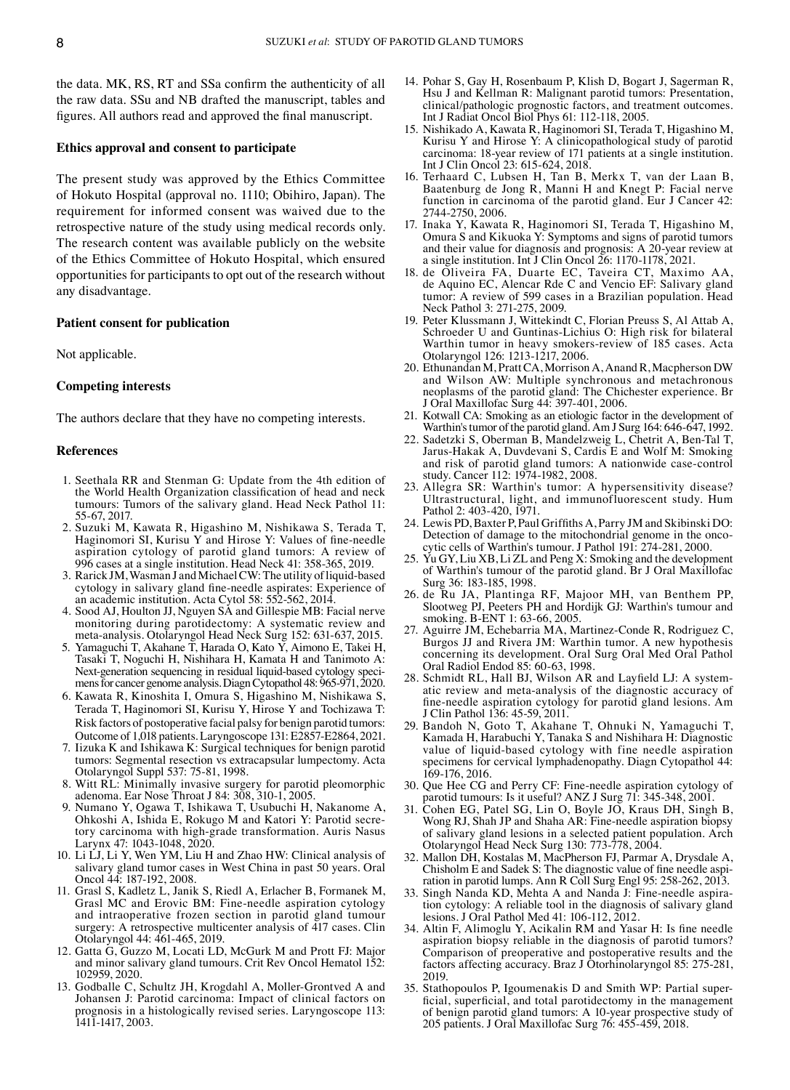the data. MK, RS, RT and SSa confirm the authenticity of all the raw data. SSu and NB drafted the manuscript, tables and figures. All authors read and approved the final manuscript.

#### **Ethics approval and consent to participate**

The present study was approved by the Ethics Committee of Hokuto Hospital (approval no. 1110; Obihiro, Japan). The requirement for informed consent was waived due to the retrospective nature of the study using medical records only. The research content was available publicly on the website of the Ethics Committee of Hokuto Hospital, which ensured opportunities for participants to opt out of the research without any disadvantage.

## **Patient consent for publication**

Not applicable.

#### **Competing interests**

The authors declare that they have no competing interests.

#### **References**

- 1. Seethala RR and Stenman G: Update from the 4th edition of the World Health Organization classification of head and neck tumours: Tumors of the salivary gland. Head Neck Pathol 11: 55‑67, 2017.
- 2. Suzuki M, Kawata R, Higashino M, Nishikawa S, Terada T, Haginomori SI, Kurisu Y and Hirose Y: Values of fine-needle aspiration cytology of parotid gland tumors: A review of 996 cases at a single institution. Head Neck 41: 358‑365, 2019.
- 3. Rarick JM, Wasman J and Michael CW: The utility of liquid-based cytology in salivary gland fine‑needle aspirates: Experience of an academic institution. Acta Cytol 58: 552‑562, 2014.
- 4. Sood AJ, Houlton JJ, Nguyen SA and Gillespie MB: Facial nerve monitoring during parotidectomy: A systematic review and meta‑analysis. Otolaryngol Head Neck Surg 152: 631‑637, 2015.
- Yamaguchi T, Akahane T, Harada O, Kato Y, Aimono E, Takei H, Tasaki T, Noguchi H, Nishihara H, Kamata H and Tanimoto A: Next-generation sequencing in residual liquid-based cytology specimens for cancer genome analysis. Diagn Cytopathol 48: 965-971, 2020.
- 6. Kawata R, Kinoshita I, Omura S, Higashino M, Nishikawa S, Terada T, Haginomori SI, Kurisu Y, Hirose Y and Tochizawa T: Risk factors of postoperative facial palsy for benign parotid tumors: Outcome of 1,018 patients. Laryngoscope 131: E2857‑E2864, 2021.
- 7. Iizuka K and Ishikawa K: Surgical techniques for benign parotid tumors: Segmental resection vs extracapsular lumpectomy. Acta Otolaryngol Suppl 537: 75‑81, 1998.
- 8. Witt RL: Minimally invasive surgery for parotid pleomorphic adenoma. Ear Nose Throat J 84: 308, 310‑1, 2005.
- 9. Numano Y, Ogawa T, Ishikawa T, Usubuchi H, Nakanome A, Ohkoshi A, Ishida E, Rokugo M and Katori Y: Parotid secre‑ tory carcinoma with high-grade transformation. Auris Nasus Larynx 47: 1043-1048, 2020.
- 10. Li LJ, Li Y, Wen YM, Liu H and Zhao HW: Clinical analysis of salivary gland tumor cases in West China in past 50 years. Oral Oncol 44: 187‑192, 2008.
- 11. Grasl S, Kadletz L, Janik S, Riedl A, Erlacher B, Formanek M, Grasl MC and Erovic BM: Fine‑needle aspiration cytology and intraoperative frozen section in parotid gland tumour surgery: A retrospective multicenter analysis of 417 cases. Clin Otolaryngol 44: 461‑465, 2019.
- 12. Gatta G, Guzzo M, Locati LD, McGurk M and Prott FJ: Major and minor salivary gland tumours. Crit Rev Oncol Hematol 152: 102959, 2020.
- 13. Godballe C, Schultz JH, Krogdahl A, Moller‑Grontved A and Johansen J: Parotid carcinoma: Impact of clinical factors on prognosis in a histologically revised series. Laryngoscope 113: 1411‑1417, 2003.
- 14. Pohar S, Gay H, Rosenbaum P, Klish D, Bogart J, Sagerman R, Hsu J and Kellman R: Malignant parotid tumors: Presentation, clinical/pathologic prognostic factors, and treatment outcomes. Int J Radiat Oncol Biol Phys 61: 112‑118, 2005.
- 15. Nishikado A, Kawata R, Haginomori SI, Terada T, Higashino M, Kurisu Y and Hirose Y: A clinicopathological study of parotid carcinoma: 18‑year review of 171 patients at a single institution. Int J Clin Oncol 23: 615‑624, 2018.
- 16. Terhaard C, Lubsen H, Tan B, Merkx T, van der Laan B, Baatenburg de Jong R, Manni H and Knegt P: Facial nerve function in carcinoma of the parotid gland. Eur J Cancer 42: 2744‑2750, 2006.
- 17. Inaka Y, Kawata R, Haginomori SI, Terada T, Higashino M, Omura S and Kikuoka Y: Symptoms and signs of parotid tumors and their value for diagnosis and prognosis: A 20‑year review at a single institution. Int J Clin Oncol 26: 1170‑1178, 2021.
- 18. de Oliveira FA, Duarte EC, Taveira CT, Maximo AA, de Aquino EC, Alencar Rde C and Vencio EF: Salivary gland tumor: A review of 599 cases in a Brazilian population. Head Neck Pathol 3: 271‑275, 2009.
- 19. Peter Klussmann J, Wittekindt C, Florian Preuss S, Al Attab A, Schroeder U and Guntinas‑Lichius O: High risk for bilateral Warthin tumor in heavy smokers‑review of 185 cases. Acta Otolaryngol 126: 1213‑1217, 2006.
- 20. Ethunandan M, Pratt CA, Morrison A, Anand R, Macpherson DW and Wilson AW: Multiple synchronous and metachronous neoplasms of the parotid gland: The Chichester experience. Br J Oral Maxillofac Surg 44: 397‑401, 2006.
- 21. Kotwall CA: Smoking as an etiologic factor in the development of Warthin's tumor of the parotid gland. Am J Surg 164: 646‑647, 1992.
- 22. Sadetzki S, Oberman B, Mandelzweig L, Chetrit A, Ben‑Tal T, Jarus‑Hakak A, Duvdevani S, Cardis E and Wolf M: Smoking and risk of parotid gland tumors: A nationwide case‑control study. Cancer 112: 1974‑1982, 2008.
- 23. Allegra SR: Warthin's tumor: A hypersensitivity disease? Ultrastructural, light, and immunofluorescent study. Hum Pathol 2: 403‑420, 1971.
- 24. Lewis PD, Baxter P, Paul Griffiths A, Parry JM and Skibinski DO: Detection of damage to the mitochondrial genome in the oncocytic cells of Warthin's tumour. J Pathol 191: 274‑281, 2000.
- 25. Yu GY, Liu XB, Li ZL and Peng X: Smoking and the development of Warthin's tumour of the parotid gland. Br J Oral Maxillofac Surg 36: 183‑185, 1998.
- 26. de Ru JA, Plantinga RF, Majoor MH, van Benthem PP, Slootweg PJ, Peeters PH and Hordijk GJ: Warthin's tumour and smoking. B-ENT 1: 63-66, 2005.
- 27. Aguirre JM, Echebarria MA, Martinez‑Conde R, Rodriguez C, Burgos JJ and Rivera JM: Warthin tumor. A new hypothesis concerning its development. Oral Surg Oral Med Oral Pathol Oral Radiol Endod 85: 60‑63, 1998.
- 28. Schmidt RL, Hall BJ, Wilson AR and Layfield LJ: A systematic review and meta‑analysis of the diagnostic accuracy of fine‑needle aspiration cytology for parotid gland lesions. Am J Clin Pathol 136: 45‑59, 2011.
- 29. Bandoh N, Goto T, Akahane T, Ohnuki N, Yamaguchi T, Kamada H, Harabuchi Y, Tanaka S and Nishihara H: Diagnostic value of liquid‑based cytology with fine needle aspiration specimens for cervical lymphadenopathy. Diagn Cytopathol 44: 169‑176, 2016.
- 30. Que Hee CG and Perry CF: Fine‑needle aspiration cytology of parotid tumours: Is it useful? ANZ J Surg 71: 345‑348, 2001.
- Cohen EG, Patel SG, Lin O, Boyle JO, Kraus DH, Singh B, Wong RJ, Shah JP and Shaha AR: Fine‑needle aspiration biopsy of salivary gland lesions in a selected patient population. Arch Otolaryngol Head Neck Surg 130: 773‑778, 2004.
- 32. Mallon DH, Kostalas M, MacPherson FJ, Parmar A, Drysdale A, Chisholm E and Sadek S: The diagnostic value of fine needle aspiration in parotid lumps. Ann R Coll Surg Engl 95: 258‑262, 2013.
- 33. Singh Nanda KD, Mehta A and Nanda J: Fine-needle aspiration cytology: A reliable tool in the diagnosis of salivary gland lesions. J Oral Pathol Med 41: 106‑112, 2012.
- 34. Altin F, Alimoglu Y, Acikalin RM and Yasar H: Is fine needle aspiration biopsy reliable in the diagnosis of parotid tumors? Comparison of preoperative and postoperative results and the factors affecting accuracy. Braz J Otorhinolaryngol 85: 275‑281, 2019.
- 35. Stathopoulos P, Igoumenakis D and Smith WP: Partial super‑ ficial, superficial, and total parotidectomy in the management of benign parotid gland tumors: A 10‑year prospective study of 205 patients. J Oral Maxillofac Surg 76: 455‑459, 2018.